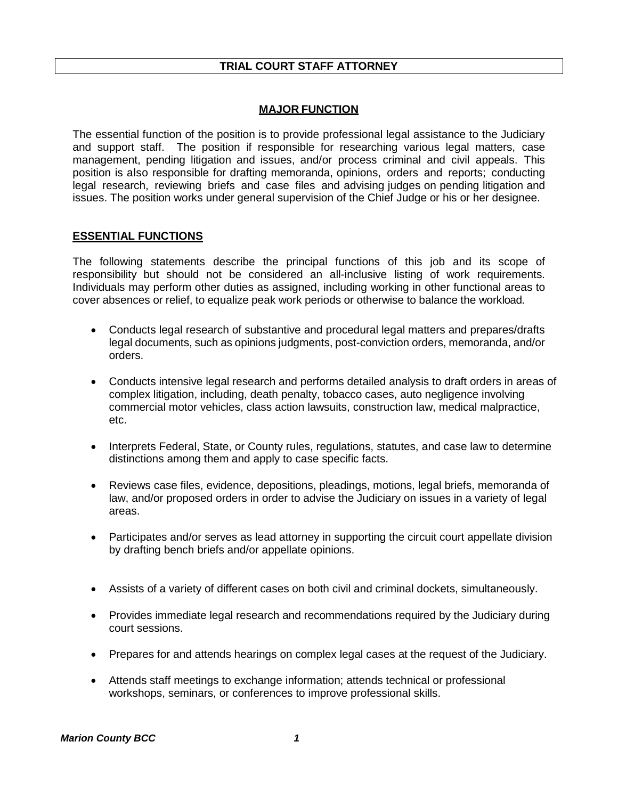## **TRIAL COURT STAFF ATTORNEY**

### **MAJOR FUNCTION**

The essential function of the position is to provide professional legal assistance to the Judiciary and support staff. The position if responsible for researching various legal matters, case management, pending litigation and issues, and/or process criminal and civil appeals. This position is also responsible for drafting memoranda, opinions, orders and reports; conducting legal research, reviewing briefs and case files and advising judges on pending litigation and issues. The position works under general supervision of the Chief Judge or his or her designee.

### **ESSENTIAL FUNCTIONS**

The following statements describe the principal functions of this job and its scope of responsibility but should not be considered an all-inclusive listing of work requirements. Individuals may perform other duties as assigned, including working in other functional areas to cover absences or relief, to equalize peak work periods or otherwise to balance the workload.

- Conducts legal research of substantive and procedural legal matters and prepares/drafts legal documents, such as opinions judgments, post-conviction orders, memoranda, and/or orders.
- Conducts intensive legal research and performs detailed analysis to draft orders in areas of complex litigation, including, death penalty, tobacco cases, auto negligence involving commercial motor vehicles, class action lawsuits, construction law, medical malpractice, etc.
- Interprets Federal, State, or County rules, regulations, statutes, and case law to determine distinctions among them and apply to case specific facts.
- Reviews case files, evidence, depositions, pleadings, motions, legal briefs, memoranda of law, and/or proposed orders in order to advise the Judiciary on issues in a variety of legal areas.
- Participates and/or serves as lead attorney in supporting the circuit court appellate division by drafting bench briefs and/or appellate opinions.
- Assists of a variety of different cases on both civil and criminal dockets, simultaneously.
- Provides immediate legal research and recommendations required by the Judiciary during court sessions.
- Prepares for and attends hearings on complex legal cases at the request of the Judiciary.
- Attends staff meetings to exchange information; attends technical or professional workshops, seminars, or conferences to improve professional skills.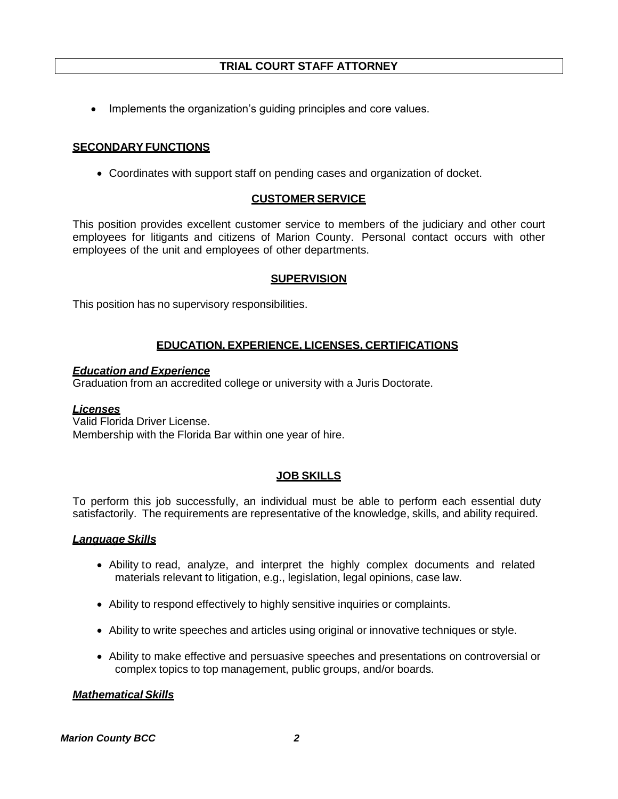Implements the organization's guiding principles and core values.

## **SECONDARY FUNCTIONS**

• Coordinates with support staff on pending cases and organization of docket.

### **CUSTOMER SERVICE**

This position provides excellent customer service to members of the judiciary and other court employees for litigants and citizens of Marion County. Personal contact occurs with other employees of the unit and employees of other departments.

### **SUPERVISION**

This position has no supervisory responsibilities.

# **EDUCATION, EXPERIENCE, LICENSES, CERTIFICATIONS**

### *Education and Experience*

Graduation from an accredited college or university with a Juris Doctorate.

### *Licenses*

Valid Florida Driver License. Membership with the Florida Bar within one year of hire.

# **JOB SKILLS**

To perform this job successfully, an individual must be able to perform each essential duty satisfactorily. The requirements are representative of the knowledge, skills, and ability required.

### *Language Skills*

- Ability to read, analyze, and interpret the highly complex documents and related materials relevant to litigation, e.g., legislation, legal opinions, case law.
- Ability to respond effectively to highly sensitive inquiries or complaints.
- Ability to write speeches and articles using original or innovative techniques or style.
- Ability to make effective and persuasive speeches and presentations on controversial or complex topics to top management, public groups, and/or boards.

### *Mathematical Skills*

*Marion County BCC 2*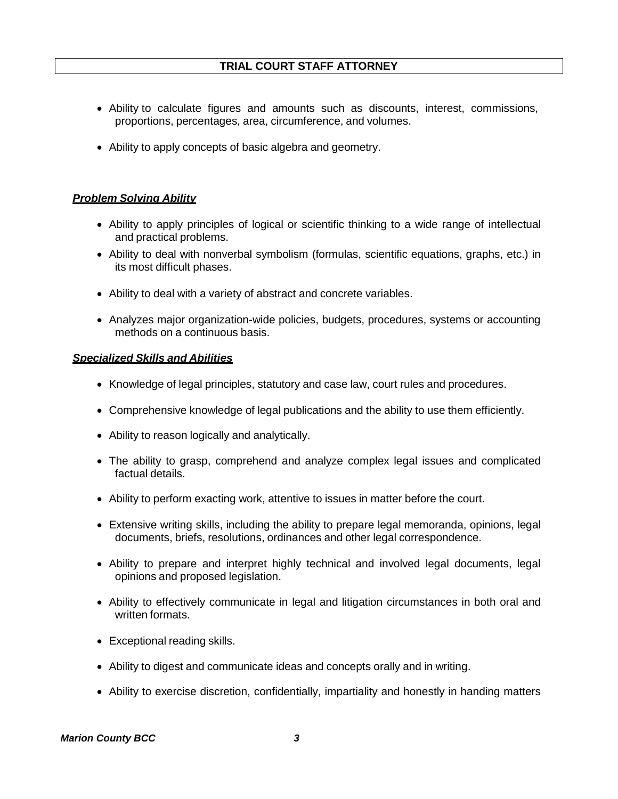- Ability to calculate figures and amounts such as discounts, interest, commissions, proportions, percentages, area, circumference, and volumes.
- Ability to apply concepts of basic algebra and geometry.

# *Problem Solving Ability*

- Ability to apply principles of logical or scientific thinking to a wide range of intellectual and practical problems.
- Ability to deal with nonverbal symbolism (formulas, scientific equations, graphs, etc.) in its most difficult phases.
- Ability to deal with a variety of abstract and concrete variables.
- Analyzes major organization-wide policies, budgets, procedures, systems or accounting methods on a continuous basis.

### *Specialized Skills and Abilities*

- Knowledge of legal principles, statutory and case law, court rules and procedures.
- Comprehensive knowledge of legal publications and the ability to use them efficiently.
- Ability to reason logically and analytically.
- The ability to grasp, comprehend and analyze complex legal issues and complicated factual details.
- Ability to perform exacting work, attentive to issues in matter before the court.
- Extensive writing skills, including the ability to prepare legal memoranda, opinions, legal documents, briefs, resolutions, ordinances and other legal correspondence.
- Ability to prepare and interpret highly technical and involved legal documents, legal opinions and proposed legislation.
- Ability to effectively communicate in legal and litigation circumstances in both oral and written formats.
- Exceptional reading skills.
- Ability to digest and communicate ideas and concepts orally and in writing.
- Ability to exercise discretion, confidentially, impartiality and honestly in handing matters